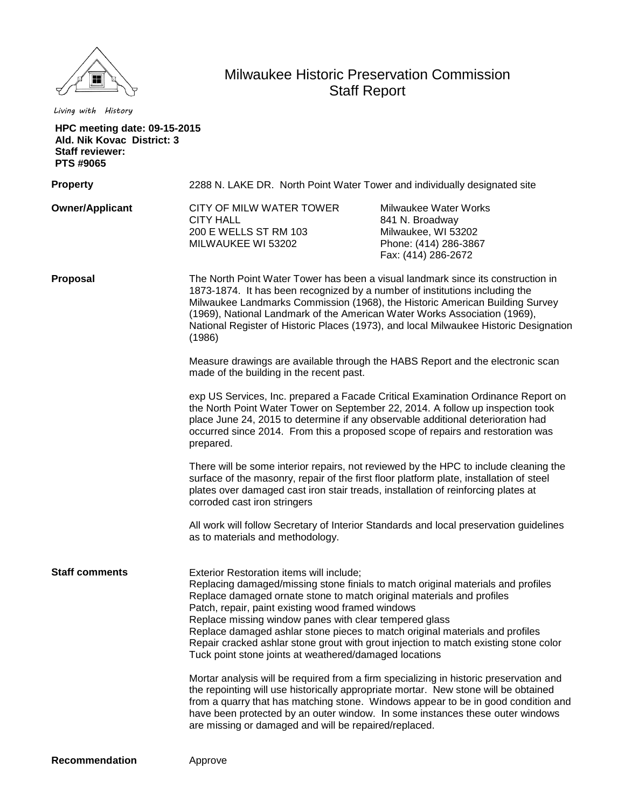

*Living with History*

## Milwaukee Historic Preservation Commission Staff Report

| <b>HPC meeting date: 09-15-2015</b><br>Ald. Nik Kovac District: 3<br><b>Staff reviewer:</b><br>PTS #9065 |                                                                                                                                                                                                                                                                                                                                                                                                                                                                                                                                                                                                                                                  |                                                                                                                 |
|----------------------------------------------------------------------------------------------------------|--------------------------------------------------------------------------------------------------------------------------------------------------------------------------------------------------------------------------------------------------------------------------------------------------------------------------------------------------------------------------------------------------------------------------------------------------------------------------------------------------------------------------------------------------------------------------------------------------------------------------------------------------|-----------------------------------------------------------------------------------------------------------------|
| <b>Property</b>                                                                                          | 2288 N. LAKE DR. North Point Water Tower and individually designated site                                                                                                                                                                                                                                                                                                                                                                                                                                                                                                                                                                        |                                                                                                                 |
| <b>Owner/Applicant</b>                                                                                   | CITY OF MILW WATER TOWER<br><b>CITY HALL</b><br>200 E WELLS ST RM 103<br>MILWAUKEE WI 53202                                                                                                                                                                                                                                                                                                                                                                                                                                                                                                                                                      | Milwaukee Water Works<br>841 N. Broadway<br>Milwaukee, WI 53202<br>Phone: (414) 286-3867<br>Fax: (414) 286-2672 |
| Proposal                                                                                                 | The North Point Water Tower has been a visual landmark since its construction in<br>1873-1874. It has been recognized by a number of institutions including the<br>Milwaukee Landmarks Commission (1968), the Historic American Building Survey<br>(1969), National Landmark of the American Water Works Association (1969),<br>National Register of Historic Places (1973), and local Milwaukee Historic Designation<br>(1986)                                                                                                                                                                                                                  |                                                                                                                 |
|                                                                                                          | Measure drawings are available through the HABS Report and the electronic scan<br>made of the building in the recent past.                                                                                                                                                                                                                                                                                                                                                                                                                                                                                                                       |                                                                                                                 |
|                                                                                                          | exp US Services, Inc. prepared a Facade Critical Examination Ordinance Report on<br>the North Point Water Tower on September 22, 2014. A follow up inspection took<br>place June 24, 2015 to determine if any observable additional deterioration had<br>occurred since 2014. From this a proposed scope of repairs and restoration was<br>prepared.                                                                                                                                                                                                                                                                                             |                                                                                                                 |
|                                                                                                          | There will be some interior repairs, not reviewed by the HPC to include cleaning the<br>surface of the masonry, repair of the first floor platform plate, installation of steel<br>plates over damaged cast iron stair treads, installation of reinforcing plates at<br>corroded cast iron stringers                                                                                                                                                                                                                                                                                                                                             |                                                                                                                 |
|                                                                                                          | as to materials and methodology.                                                                                                                                                                                                                                                                                                                                                                                                                                                                                                                                                                                                                 | All work will follow Secretary of Interior Standards and local preservation guidelines                          |
| <b>Staff comments</b>                                                                                    | Exterior Restoration items will include;<br>Replacing damaged/missing stone finials to match original materials and profiles<br>Replace damaged ornate stone to match original materials and profiles<br>Patch, repair, paint existing wood framed windows<br>Replace missing window panes with clear tempered glass<br>Replace damaged ashlar stone pieces to match original materials and profiles<br>Repair cracked ashlar stone grout with grout injection to match existing stone color<br>Tuck point stone joints at weathered/damaged locations<br>Mortar analysis will be required from a firm specializing in historic preservation and |                                                                                                                 |
|                                                                                                          | the repointing will use historically appropriate mortar. New stone will be obtained<br>have been protected by an outer window. In some instances these outer windows<br>are missing or damaged and will be repaired/replaced.                                                                                                                                                                                                                                                                                                                                                                                                                    | from a quarry that has matching stone. Windows appear to be in good condition and                               |